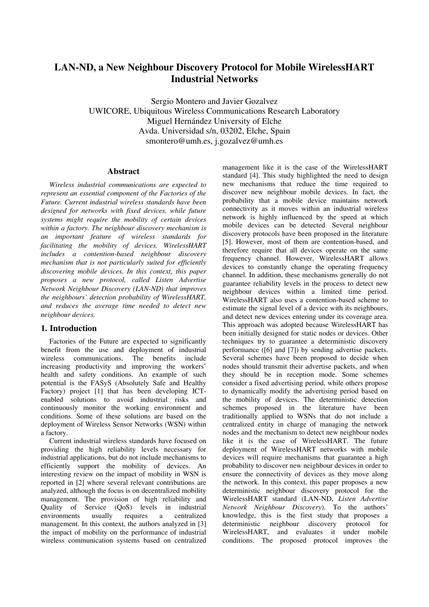# **LAN-ND, a New Neighbour Discovery Protocol for Mobile WirelessHART Industrial Networks**

Sergio Montero and Javier Gozalvez UWICORE, Ubiquitous Wireless Communications Research Laboratory Miguel Hernández University of Elche Avda. Universidad s/n, 03202, Elche, Spain smontero@umh.es, j.gozalvez@umh.es

# **Abstract**

*Wireless industrial communications are expected to represent an essential component of the Factories of the Future. Current industrial wireless standards have been designed for networks with fixed devices, while future systems might require the mobility of certain devices within a factory. The neighbour discovery mechanism is an important feature of wireless standards for facilitating the mobility of devices. WirelessHART includes a contention-based neighbour discovery mechanism that is not particularly suited for efficiently discovering mobile devices. In this context, this paper proposes a new protocol, called Listen Advertise Network Neighbour Discovery (LANND) that improves the neighbours' detection probability of WirelessHART, and reduces the average time needed to detect new neighbour devices.* 

# **1. Introduction**

Factories of the Future are expected to significantly benefit from the use and deployment of industrial wireless communications. The benefits include increasing productivity and improving the workers' health and safety conditions. An example of such potential is the FASyS (Absolutely Safe and Healthy Factory) project [1] that has been developing ICTenabled solutions to avoid industrial risks and continuously monitor the working environment and conditions. Some of these solutions are based on the deployment of Wireless Sensor Networks (WSN) within a factory.

Current industrial wireless standards have focused on providing the high reliability levels necessary for industrial applications, but do not include mechanisms to efficiently support the mobility of devices. An interesting review on the impact of mobility in WSN is reported in [2] where several relevant contributions are analyzed, although the focus is on decentralized mobility management. The provision of high reliability and Quality of Service (QoS) levels in industrial environments usually requires a centralized management. In this context, the authors analyzed in [3] the impact of mobility on the performance of industrial wireless communication systems based on centralized

management like it is the case of the WirelessHART standard [4]. This study highlighted the need to design new mechanisms that reduce the time required to discover new neighbour mobile devices. In fact, the probability that a mobile device maintains network connectivity as it moves within an industrial wireless network is highly influenced by the speed at which mobile devices can be detected. Several neighbour discovery protocols have been proposed in the literature [5]. However, most of them are contention-based, and therefore require that all devices operate on the same frequency channel. However, WirelessHART allows devices to constantly change the operating frequency channel. In addition, these mechanisms generally do not guarantee reliability levels in the process to detect new neighbour devices within a limited time period. WirelessHART also uses a contention-based scheme to estimate the signal level of a device with its neighbours, and detect new devices entering under its coverage area. This approach was adopted because WirelessHART has been initially designed for static nodes or devices. Other techniques try to guarantee a deterministic discovery performance ([6] and [7]) by sending advertise packets. Several schemes have been proposed to decide when nodes should transmit their advertise packets, and when they should be in reception mode. Some schemes consider a fixed advertising period, while others propose to dynamically modify the advertising period based on the mobility of devices. The deterministic detection schemes proposed in the literature have been traditionally applied to WSNs that do not include a centralized entity in charge of managing the network nodes and the mechanism to detect new neighbour nodes like it is the case of WirelessHART. The future deployment of WirelessHART networks with mobile devices will require mechanisms that guarantee a high probability to discover new neighbour devices in order to ensure the connectivity of devices as they move along the network. In this context, this paper proposes a new deterministic neighbour discovery protocol for the WirelessHART standard (LAN-ND, *Listen Advertise Network Neighbour Discovery*). To the authors' knowledge, this is the first study that proposes a deterministic neighbour discovery protocol for WirelessHART, and evaluates it under mobile conditions. The proposed protocol improves the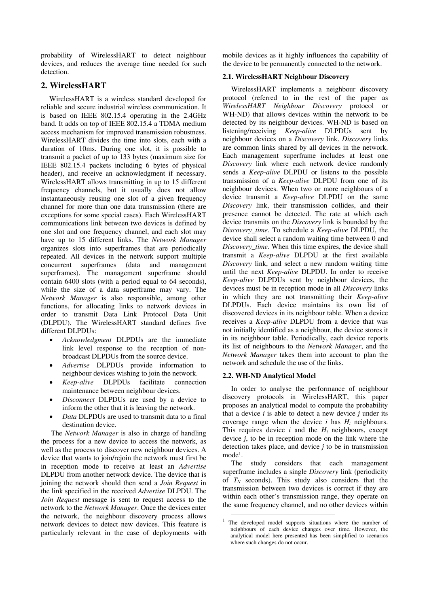probability of WirelessHART to detect neighbour devices, and reduces the average time needed for such detection.

# **2. WirelessHART**

WirelessHART is a wireless standard developed for reliable and secure industrial wireless communication. It is based on IEEE 802.15.4 operating in the 2.4GHz band. It adds on top of IEEE 802.15.4 a TDMA medium access mechanism for improved transmission robustness. WirelessHART divides the time into slots, each with a duration of 10ms. During one slot, it is possible to transmit a packet of up to 133 bytes (maximum size for IEEE 802.15.4 packets including 6 bytes of physical header), and receive an acknowledgment if necessary. WirelessHART allows transmitting in up to 15 different frequency channels, but it usually does not allow instantaneously reusing one slot of a given frequency channel for more than one data transmission (there are exceptions for some special cases). Each WirelessHART communications link between two devices is defined by one slot and one frequency channel, and each slot may have up to 15 different links. The *Network Manager* organizes slots into superframes that are periodically repeated. All devices in the network support multiple concurrent superframes (data and management superframes). The management superframe should contain 6400 slots (with a period equal to 64 seconds), while the size of a data superframe may vary. The *Network Manager* is also responsible, among other functions, for allocating links to network devices in order to transmit Data Link Protocol Data Unit (DLPDU). The WirelessHART standard defines five different DLPDUs:

- *Acknowledgment* DLPDUs are the immediate link level response to the reception of nonbroadcast DLPDUs from the source device.
- *Advertise* DLPDUs provide information to neighbour devices wishing to join the network.
- *Keep-alive* DLPDUs facilitate connection maintenance between neighbour devices.
- *Disconnect* DLPDUs are used by a device to inform the other that it is leaving the network.
- *Data* DLPDUs are used to transmit data to a final destination device.

The *Network Manager* is also in charge of handling the process for a new device to access the network, as well as the process to discover new neighbour devices. A device that wants to join/rejoin the network must first be in reception mode to receive at least an *Advertise* DLPDU from another network device. The device that is joining the network should then send a *Join Request* in the link specified in the received *Advertise* DLPDU. The *Join Request* message is sent to request access to the network to the *Network Manager*. Once the devices enter the network, the neighbour discovery process allows network devices to detect new devices. This feature is particularly relevant in the case of deployments with

mobile devices as it highly influences the capability of the device to be permanently connected to the network.

# **2.1. WirelessHART Neighbour Discovery**

WirelessHART implements a neighbour discovery protocol (referred to in the rest of the paper as *WirelessHART Neighbour Discovery* protocol or WH-ND) that allows devices within the network to be detected by its neighbour devices. WH-ND is based on listening/receiving *Keep-alive* DLPDUs sent by neighbour devices on a *Discovery* link. *Discovery* links are common links shared by all devices in the network. Each management superframe includes at least one *Discovery* link where each network device randomly sends a *Keep-alive* DLPDU or listens to the possible transmission of a *Keep-alive* DLPDU from one of its neighbour devices. When two or more neighbours of a device transmit a *Keep-alive* DLPDU on the same *Discovery* link, their transmission collides, and their presence cannot be detected. The rate at which each device transmits on the *Discovery* link is bounded by the *Discovery*\_*time*. To schedule a *Keep-alive* DLPDU, the device shall select a random waiting time between 0 and *Discovery\_time*. When this time expires, the device shall transmit a *Keep-alive* DLPDU at the first available *Discovery* link, and select a new random waiting time until the next *Keep-alive* DLPDU. In order to receive *Keep-alive* DLPDUs sent by neighbour devices, the devices must be in reception mode in all *Discovery* links in which they are not transmitting their *Keep-alive* DLPDUs. Each device maintains its own list of discovered devices in its neighbour table. When a device receives a *Keep-alive* DLPDU from a device that was not initially identified as a neighbour, the device stores it in its neighbour table. Periodically, each device reports its list of neighbours to the *Network Manager*, and the *Network Manager* takes them into account to plan the network and schedule the use of the links.

# **2.2. WH-ND Analytical Model**

In order to analyse the performance of neighbour discovery protocols in WirelessHART, this paper proposes an analytical model to compute the probability that a device  $i$  is able to detect a new device  $j$  under its coverage range when the device  $i$  has  $H_i$  neighbours. This requires device  $i$  and the  $H_i$  neighbours, except device *j*, to be in reception mode on the link where the detection takes place, and device *j* to be in transmission mode<sup>1</sup>.

The study considers that each management superframe includes a single *Discovery* link (periodicity of  $T_N$  seconds). This study also considers that the transmission between two devices is correct if they are within each other's transmission range, they operate on the same frequency channel, and no other devices within

 $1$  The developed model supports situations where the number of neighbours of each device changes over time. However, the analytical model here presented has been simplified to scenarios where such changes do not occur.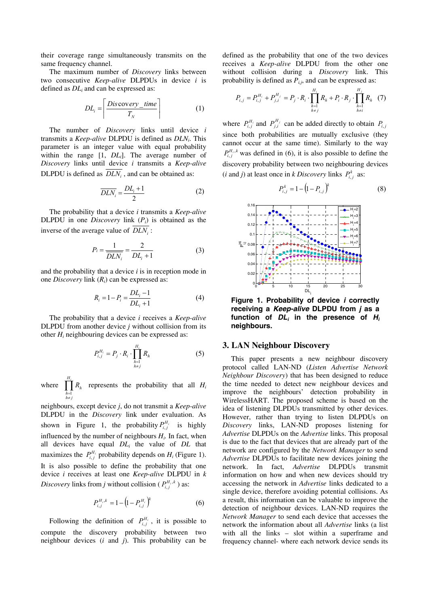their coverage range simultaneously transmits on the same frequency channel.

The maximum number of *Discovery* links between two consecutive *Keep-alive* DLPDUs in device *i* is defined as *DLi* and can be expressed as:

$$
DL_i = \left\lceil \frac{Dis\,covery\_time}{T_N} \right\rceil \tag{1}
$$

The number of *Discovery* links until device *i* transmits a *Keepalive* DLPDU is defined as *DLNi*. This parameter is an integer value with equal probability within the range [1, *DLi*]. The average number of *Discovery* links until device *i* transmits a *Keepalive* DLPDU is defined as  $\overline{DLN_i}$ , and can be obtained as:

$$
\overline{DLN_i} = \frac{DL_i + 1}{2} \tag{2}
$$

The probability that a device *i* transmits a *Keep-alive* DLPDU in one *Discovery* link  $(P_i)$  is obtained as the inverse of the average value of  $\overline{DLN_i}$ :

$$
P_i = \frac{1}{DLN_i} = \frac{2}{DL_i + 1}
$$
\n(3)

and the probability that a device *i* is in reception mode in one *Discovery* link (*Ri*) can be expressed as:

$$
R_i = 1 - P_i = \frac{DL_i - 1}{DL_i + 1}
$$
 (4)

The probability that a device *i* receives a *Keep-alive* DLPDU from another device *j* without collision from its other *Hi* neighbouring devices can be expressed as:

$$
P_{i,j}^{H_i} = P_j \cdot R_i \cdot \prod_{\substack{h=1 \\ h \neq j}}^{H_i} R_h \tag{5}
$$

where  $\prod_{h=1}$  $\neq$ *Hi h j*  $\prod_{h=1} R_h$ represents the probability that all *Hi*

neighbours, except device *j*, do not transmit a *Keep-alive* DLPDU in the *Discovery* link under evaluation. As shown in Figure 1, the probability  $P_{i,j}^{H_i}$  is highly influenced by the number of neighbours  $H_i$ . In fact, when all devices have equal *DLi* the value of *DL* that maximizes the  $P_{i,j}^{H_i}$  probability depends on  $H_i$  (Figure 1). It is also possible to define the probability that one device *i* receives at least one *Keep-alive* DLPDU in *k Discovery* links from *j* without collision ( $P_{i,j}^{H_i,k}$ ) as:

$$
P_{i,j}^{H_i,k} = 1 - \left(1 - P_{i,j}^{H_i}\right)^k \tag{6}
$$

Following the definition of  $P_{i,j}^{H_i}$ , it is possible to compute the discovery probability between two neighbour devices (*i* and *j*). This probability can be defined as the probability that one of the two devices receives a *Keep-alive* DLPDU from the other one without collision during a *Discovery* link. This probability is defined as  $P_{i,j}$ , and can be expressed as:

$$
P_{i,j} = P_{i,j}^{H_i} + P_{j,i}^{H_j} = P_j \cdot R_i \cdot \prod_{\substack{h=1 \\ h \neq j}}^{H_i} R_h + P_i \cdot R_j \cdot \prod_{\substack{h=1 \\ h \neq i}}^{H_j} R_h \quad (7)
$$

where  $P_{i,j}^{H_i}$  and  $P_{j,i}^{H_j}$  can be added directly to obtain  $P_{i,j}$ since both probabilities are mutually exclusive (they cannot occur at the same time). Similarly to the way  $P_{i,j}^{H_i,k}$  was defined in (6), it is also possible to define the discovery probability between two neighbouring devices (*i* and *j*) at least once in *k Discovery* links  $P_{i,j}^k$  as:

$$
P_{i,j}^k = 1 - \left(1 - P_{i,j}\right)^k \tag{8}
$$



**Figure 1. Probability of device** *i* **correctly receiving a** *Keep-alive* **DLPDU from** *j* **as a function of** *DLi* **in the presence of** *Hi* **neighbours.** 

### **3. LAN Neighbour Discovery**

This paper presents a new neighbour discovery protocol called LAN-ND (*Listen Advertise Network Neighbour Discovery*) that has been designed to reduce the time needed to detect new neighbour devices and improve the neighbours' detection probability in WirelessHART. The proposed scheme is based on the idea of listening DLPDUs transmitted by other devices. However, rather than trying to listen DLPDUs on *Discovery* links, LAN-ND proposes listening for *Advertise* DLPDUs on the *Advertise* links. This proposal is due to the fact that devices that are already part of the network are configured by the *Network Manager* to send *Advertise* DLPDUs to facilitate new devices joining the network. In fact, *Advertise* DLPDUs transmit information on how and when new devices should try accessing the network in *Advertise* links dedicated to a single device, therefore avoiding potential collisions. As a result, this information can be valuable to improve the detection of neighbour devices. LAN-ND requires the *Network Manager* to send each device that accesses the network the information about all *Advertise* links (a list with all the links – slot within a superframe and frequency channel- where each network device sends its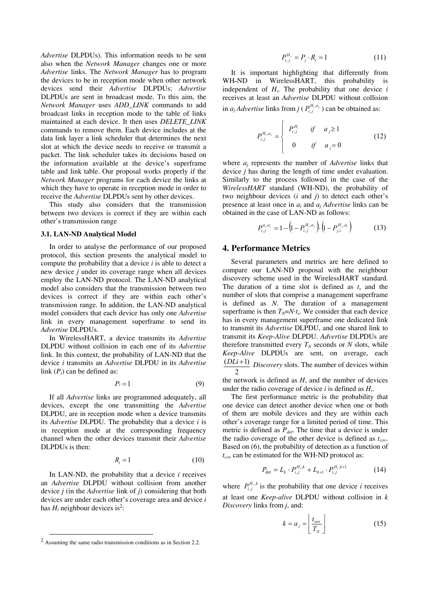*Advertise* DLPDUs). This information needs to be sent also when the *Network Manager* changes one or more *Advertise* links. The *Network Manager* has to program the devices to be in reception mode when other network devices send their *Advertise* DLPDUs; *Advertise* DLPDUs are sent in broadcast mode. To this aim, the *Network Manager* uses *ADD\_LINK* commands to add broadcast links in reception mode to the table of links maintained at each device. It then uses *DELETE\_LINK*  commands to remove them. Each device includes at the data link layer a link scheduler that determines the next slot at which the device needs to receive or transmit a packet. The link scheduler takes its decisions based on the information available at the device's superframe table and link table. Our proposal works properly if the *Network Manager* programs for each device the links at which they have to operate in reception mode in order to receive the *Advertise* DLPDUs sent by other devices.

This study also considers that the transmission between two devices is correct if they are within each other's transmission range

#### **3.1. LAN-ND Analytical Model**

In order to analyse the performance of our proposed protocol, this section presents the analytical model to compute the probability that a device *i* is able to detect a new device *j* under its coverage range when all devices employ the LAN-ND protocol. The LAN-ND analytical model also considers that the transmission between two devices is correct if they are within each other's transmission range. In addition, the LAN-ND analytical model considers that each device has only one *Advertise* link in every management superframe to send its *Advertise* DLPDUs.

In WirelessHART, a device transmits its *Advertise* DLPDU without collision in each one of its *Advertise* link. In this context, the probability of LAN-ND that the device *i* transmits an *Advertise* DLPDU in its *Advertise* link  $(P_i)$  can be defined as:

$$
P_i = 1 \tag{9}
$$

If all *Advertise* links are programmed adequately, all devices, except the one transmitting the *Advertise* DLPDU, are in reception mode when a device transmits its *Advertise* DLPDU. The probability that a device *i* is in reception mode at the corresponding frequency channel when the other devices transmit their *Advertise* DLPDUs is then:

$$
R_i = 1 \tag{10}
$$

In LAN-ND, the probability that a device *i* receives an *Advertise* DLPDU without collision from another device *j* (in the *Advertise* link of *j*) considering that both devices are under each other's coverage area and device *i* has  $H_i$  neighbour devices is<sup>2</sup>:

$$
P_{i,j}^{H_i} = P_j \cdot R_i = 1 \tag{11}
$$

It is important highlighting that differently from WH-ND in WirelessHART, this probability is independent of  $H_i$ . The probability that one device  $i$ receives at least an *Advertise* DLPDU without collision in  $a_j$  *Advertise* links from  $j$  ( $P_{i,j}^{H_i, a_j}$ ) can be obtained as:

$$
P_{i,j}^{H_i, a_j} = \begin{cases} P_{i,j}^{H_i} & \text{if} \quad a_j \ge 1\\ 0 & \text{if} \quad a_j = 0 \end{cases} \tag{12}
$$

where *aj* represents the number of *Advertise* links that device *j* has during the length of time under evaluation. Similarly to the process followed in the case of the *WirelessHART* standard (WH-ND), the probability of two neighbour devices (*i* and *j*) to detect each other's presence at least once in *ai* and *aj Advertise* links can be obtained in the case of LAN-ND as follows:

$$
P_{i,j}^{a_i, a_j} = 1 - \left(1 - P_{i,j}^{H_i, a_j}\right) \cdot \left(1 - P_{j,i}^{H_j, a_i}\right) \tag{13}
$$

#### **4. Performance Metrics**

Several parameters and metrics are here defined to compare our LAN-ND proposal with the neighbour discovery scheme used in the WirelessHART standard. The duration of a time slot is defined as  $t_s$  and the number of slots that comprise a management superframe is defined as *N*. The duration of a management superframe is then  $T_N = N \cdot t_s$ . We consider that each device has in every management superframe one dedicated link to transmit its *Advertise* DLPDU, and one shared link to transmit its *Keep-Alive* DLPDU. *Advertise* DLPDUs are therefore transmitted every  $T_N$  seconds or  $N$  slots, while *Keep-Alive* DLPDUs are sent, on average, each 2  $(DLi+1)$  *Discovery* slots. The number of devices within

the network is defined as *H*, and the number of devices under the radio coverage of device *i* is defined as *Hi*.

The first performance metric is the probability that one device can detect another device when one or both of them are mobile devices and they are within each other's coverage range for a limited period of time. This metric is defined as  $P_{det}$ . The time that a device is under the radio coverage of the other device is defined as  $t_{cov}$ . Based on (6), the probability of detection as a function of  $t_{cov}$  can be estimated for the WH-ND protocol as:

$$
P_{\det} = L_k \cdot P_{i,j}^{H_i,k} + L_{k+1} \cdot P_{i,j}^{H_i,k+1}
$$
 (14)

where  $P_{i,j}^{H_i,k}$  is the probability that one device *i* receives at least one *Keep-alive* DLPDU without collision in *k Discovery* links from *j*, and:

$$
k = a_j = \left\lfloor \frac{t_{\text{cov}}}{T_N} \right\rfloor \tag{15}
$$

<sup>&</sup>lt;sup>2</sup> Assuming the same radio transmission conditions as in Section 2.2.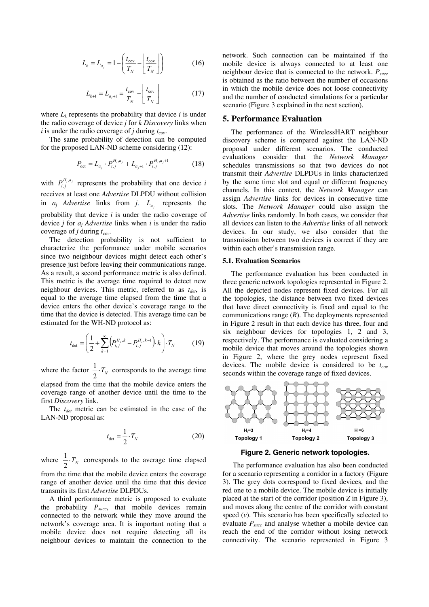$$
L_k = L_{a_j} = 1 - \left(\frac{t_{\text{cov}}}{T_N} - \left\lfloor \frac{t_{\text{cov}}}{T_N} \right\rfloor\right) \tag{16}
$$

$$
L_{k+1} = L_{a_j+1} = \frac{t_{\text{cov}}}{T_N} - \left\lfloor \frac{t_{\text{cov}}}{T_N} \right\rfloor
$$
 (17)

where  $L_k$  represents the probability that device *i* is under the radio coverage of device *j* for *k Discovery* links when *i* is under the radio coverage of *j* during  $t_{cov}$ .

The same probability of detection can be computed for the proposed LAN-ND scheme considering  $(12)$ :

$$
P_{\det} = L_{a_j} \cdot P_{i,j}^{H_i, a_j} + L_{a_j+1} \cdot P_{i,j}^{H_i, a_j+1}
$$
 (18)

with  $P_{i,j}^{H_i, a_j}$  represents the probability that one device *i* receives at least one *Advertise* DLPDU without collision in  $a_i$  *Advertise* links from  $j$ .  $L_a$  represents the probability that device *i* is under the radio coverage of device *j* for *aj Advertise* links when *i* is under the radio coverage of *j* during  $t_{cov}$ .

The detection probability is not sufficient to characterize the performance under mobile scenarios since two neighbour devices might detect each other's presence just before leaving their communications range. As a result, a second performance metric is also defined. This metric is the average time required to detect new neighbour devices. This metric, referred to as  $t_{det}$ , is equal to the average time elapsed from the time that a device enters the other device's coverage range to the time that the device is detected. This average time can be estimated for the WH-ND protocol as:

$$
t_{\text{det}} = \left(\frac{1}{2} + \sum_{k=1}^{\infty} \left(P_{i,j}^{H_i,k} - P_{i,j}^{H_i,k-1}\right) \cdot k\right) \cdot T_N \tag{19}
$$

where the factor  $\frac{1}{2} \cdot T_N$  corresponds to the average time elapsed from the time that the mobile device enters the

coverage range of another device until the time to the first *Discovery* link.

The  $t_{det}$  metric can be estimated in the case of the LAN-ND proposal as:

$$
t_{\text{det}} = \frac{1}{2} \cdot T_N \tag{20}
$$

where  $\frac{1}{2} \cdot T_N$  corresponds to the average time elapsed from the time that the mobile device enters the coverage range of another device until the time that this device transmits its first *Advertise* DLPDUs.

A third performance metric is proposed to evaluate the probability *Psucc*, that mobile devices remain connected to the network while they move around the network's coverage area. It is important noting that a mobile device does not require detecting all its neighbour devices to maintain the connection to the

network. Such connection can be maintained if the mobile device is always connected to at least one neighbour device that is connected to the network. *Psucc* is obtained as the ratio between the number of occasions in which the mobile device does not loose connectivity and the number of conducted simulations for a particular scenario (Figure 3 explained in the next section).

### **5. Performance Evaluation**

The performance of the WirelessHART neighbour discovery scheme is compared against the LAN-ND proposal under different scenarios. The conducted evaluations consider that the *Network Manager* schedules transmissions so that two devices do not transmit their *Advertise* DLPDUs in links characterized by the same time slot and equal or different frequency channels. In this context, the *Network Manager* can assign *Advertise* links for devices in consecutive time slots. The *Network Manager* could also assign the *Advertise* links randomly. In both cases, we consider that all devices can listen to the *Advertise* links of all network devices. In our study, we also consider that the transmission between two devices is correct if they are within each other's transmission range.

#### **5.1. Evaluation Scenarios**

The performance evaluation has been conducted in three generic network topologies represented in Figure 2. All the depicted nodes represent fixed devices. For all the topologies, the distance between two fixed devices that have direct connectivity is fixed and equal to the communications range (*R*). The deployments represented in Figure 2 result in that each device has three, four and six neighbour devices for topologies 1, 2 and 3, respectively. The performance is evaluated considering a mobile device that moves around the topologies shown in Figure 2, where the grey nodes represent fixed devices. The mobile device is considered to be  $t_{cov}$ seconds within the coverage range of fixed devices.



**Figure 2. Generic network topologies.** 

The performance evaluation has also been conducted for a scenario representing a corridor in a factory (Figure 3). The grey dots correspond to fixed devices, and the red one to a mobile device. The mobile device is initially placed at the start of the corridor (position *Z* in Figure 3), and moves along the centre of the corridor with constant speed (*v*). This scenario has been specifically selected to evaluate *Psucc* and analyse whether a mobile device can reach the end of the corridor without losing network connectivity. The scenario represented in Figure 3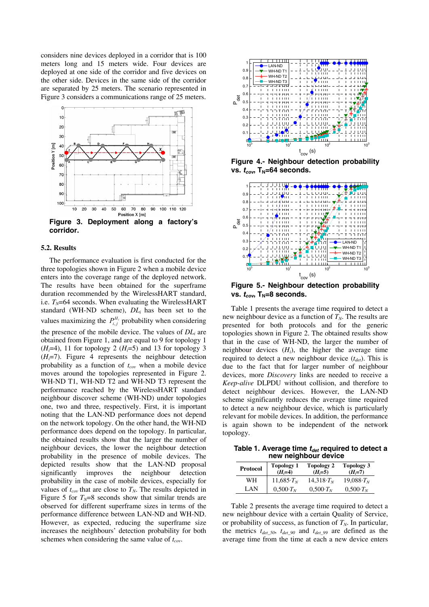considers nine devices deployed in a corridor that is 100 meters long and 15 meters wide. Four devices are deployed at one side of the corridor and five devices on the other side. Devices in the same side of the corridor are separated by 25 meters. The scenario represented in Figure 3 considers a communications range of 25 meters.



**Figure 3. Deployment along a factory's corridor.** 

#### **5.2. Results**

The performance evaluation is first conducted for the three topologies shown in Figure 2 when a mobile device enters into the coverage range of the deployed network. The results have been obtained for the superframe duration recommended by the WirelessHART standard, i.e.  $T_N$ =64 seconds. When evaluating the WirelessHART standard (WH-ND scheme),  $DL<sub>i</sub>$  has been set to the values maximizing the  $P_{i,j}^{H_i}$  probability when considering the presence of the mobile device. The values of *DLi* are obtained from Figure 1, and are equal to 9 for topology 1  $(H<sub>i</sub>=4)$ , 11 for topology 2  $(H<sub>i</sub>=5)$  and 13 for topology 3  $(H<sub>i</sub>=7)$ . Figure 4 represents the neighbour detection probability as a function of  $t_{cov}$  when a mobile device moves around the topologies represented in Figure 2. WH-ND T1, WH-ND T2 and WH-ND T3 represent the performance reached by the WirelessHART standard neighbour discover scheme (WH-ND) under topologies one, two and three, respectively. First, it is important noting that the LAN-ND performance does not depend on the network topology. On the other hand, the WH-ND performance does depend on the topology. In particular, the obtained results show that the larger the number of neighbour devices, the lower the neighbour detection probability in the presence of mobile devices. The depicted results show that the LAN-ND proposal significantly improves the neighbour detection probability in the case of mobile devices, especially for values of  $t_{cov}$  that are close to  $T_N$ . The results depicted in Figure 5 for  $T_N=8$  seconds show that similar trends are observed for different superframe sizes in terms of the performance difference between LAN-ND and WH-ND. However, as expected, reducing the superframe size increases the neighbours' detection probability for both schemes when considering the same value of  $t_{cov}$ .



**Figure 4.- Neighbour detection probability**  vs.  $t_{cov}$ , T<sub>N</sub>=64 seconds.



**Figure 5.- Neighbour detection probability**  vs.  $t_{cov}$ , T<sub>N</sub>=8 seconds.

Table 1 presents the average time required to detect a new neighbour device as a function of  $T_N$ . The results are presented for both protocols and for the generic topologies shown in Figure 2. The obtained results show that in the case of WH-ND, the larger the number of neighbour devices  $(H_i)$ , the higher the average time required to detect a new neighbour device  $(t_{det})$ . This is due to the fact that for larger number of neighbour devices, more *Discovery* links are needed to receive a *Keep-alive* DLPDU without collision, and therefore to detect neighbour devices. However, the LAN-ND scheme significantly reduces the average time required to detect a new neighbour device, which is particularly relevant for mobile devices. In addition, the performance is again shown to be independent of the network topology.

Table 1. Average time  $t_{det}$  required to detect a **new neighbour device**

| Protocol | <b>Topology 1</b><br>$(Hi=4)$ | Topology 2<br>$(H = 5)$ | Topology 3<br>$(H_i=7)$ |
|----------|-------------------------------|-------------------------|-------------------------|
| WН       | $11,685 \cdot T_N$            | $14.318 \cdot T_N$      | $19.088 \cdot T_N$      |
| LAN      | $0.500 \cdot T_N$             | $0.500 \cdot T_N$       | $0.500 \cdot T_N$       |

Table 2 presents the average time required to detect a new neighbour device with a certain Quality of Service, or probability of success, as function of  $T_N$ . In particular, the metrics  $t_{det\_50}$ ,  $t_{det\_90}$  and  $t_{det\_99}$  are defined as the average time from the time at each a new device enters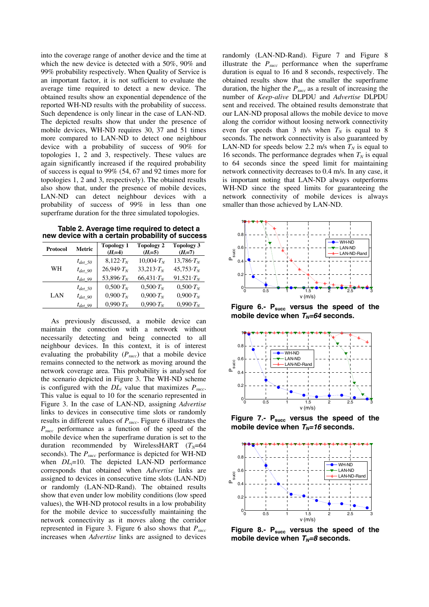into the coverage range of another device and the time at which the new device is detected with a 50%, 90% and 99% probability respectively. When Quality of Service is an important factor, it is not sufficient to evaluate the average time required to detect a new device. The obtained results show an exponential dependence of the reported WH-ND results with the probability of success. Such dependence is only linear in the case of LAN-ND. The depicted results show that under the presence of mobile devices, WH-ND requires 30, 37 and 51 times more compared to LAN-ND to detect one neighbour device with a probability of success of 90% for topologies 1, 2 and 3, respectively. These values are again significantly increased if the required probability of success is equal to 99% (54, 67 and 92 times more for topologies 1, 2 and 3, respectively). The obtained results also show that, under the presence of mobile devices, LAN-ND can detect neighbour devices with a probability of success of 99% in less than one superframe duration for the three simulated topologies.

**Table 2. Average time required to detect a new device with a certain probability of success**

| <b>Protocol</b> | Metric                | <b>Topology 1</b><br>$(H_i=4)$ | <b>Topology 2</b><br>$(H_i=5)$ | <b>Topology 3</b><br>$(H_i=7)$ |
|-----------------|-----------------------|--------------------------------|--------------------------------|--------------------------------|
| WН              | $t_{det 50}$          | $8,122 \cdot T_N$              | $10,004 \cdot T_N$             | $13,786 \cdot T_N$             |
|                 | $t_{det}$ 90          | $26,949 \cdot T_N$             | $33,213 \cdot T_N$             | $45,753 \cdot T_N$             |
|                 | $t_{det\_99}$         | 53,896 $T_N$                   | $66,431 \cdot T_N$             | 91,521 $\cdot T_N$             |
| LAN             | $t_{det 50}$          | $0.500 \cdot T_N$              | $0.500 \cdot T_N$              | $0.500 \cdot T_N$              |
|                 | $t_{det\_90}$         | $0.900 \cdot T_N$              | $0.900 \cdot T_N$              | $0.900 \cdot T_N$              |
|                 | $t_{\frac{det 99}{}}$ | $0.990 \cdot T_N$              | $0.990 \cdot T_N$              | $0.990 \cdot T_N$              |

As previously discussed, a mobile device can maintain the connection with a network without necessarily detecting and being connected to all neighbour devices. In this context, it is of interest evaluating the probability (*Psucc*) that a mobile device remains connected to the network as moving around the network coverage area. This probability is analysed for the scenario depicted in Figure 3. The WH-ND scheme is configured with the  $DL_i$  value that maximizes  $P_{succ}$ . This value is equal to 10 for the scenario represented in Figure 3. In the case of LAN-ND, assigning *Advertise* links to devices in consecutive time slots or randomly results in different values of *Psucc*. Figure 6 illustrates the *Psucc* performance as a function of the speed of the mobile device when the superframe duration is set to the duration recommended by WirelessHART  $(T_N=64$ seconds). The *Psucc* performance is depicted for WH-ND when *DL*<sub>i</sub>=10. The depicted LAN-ND performance corresponds that obtained when *Advertise* links are assigned to devices in consecutive time slots (LAN-ND) or randomly (LAN-ND-Rand). The obtained results show that even under low mobility conditions (low speed values), the WH-ND protocol results in a low probability for the mobile device to successfully maintaining the network connectivity as it moves along the corridor represented in Figure 3. Figure 6 also shows that *Psucc* increases when *Advertise* links are assigned to devices

randomly (LAN-ND-Rand). Figure  $7$  and Figure  $8$ illustrate the  $P_{succ}$  performance when the superframe duration is equal to 16 and 8 seconds, respectively. The obtained results show that the smaller the superframe duration, the higher the *Psucc* as a result of increasing the number of *Keep-alive* DLPDU and *Advertise* DLPDU sent and received. The obtained results demonstrate that our LAN-ND proposal allows the mobile device to move along the corridor without loosing network connectivity even for speeds than 3 m/s when  $T_N$  is equal to 8 seconds. The network connectivity is also guaranteed by LAN-ND for speeds below 2.2 m/s when  $T_N$  is equal to 16 seconds. The performance degrades when  $T_N$  is equal to 64 seconds since the speed limit for maintaining network connectivity decreases to 0.4 m/s. In any case, it is important noting that LAN-ND always outperforms WH-ND since the speed limits for guaranteeing the network connectivity of mobile devices is always smaller than those achieved by LAN-ND.



Figure 6.- P<sub>succ</sub> versus the speed of the mobile device when  $T_N=64$  seconds.



Figure 7.- P<sub>succ</sub> versus the speed of the mobile device when  $T_{N}=16$  seconds.



Figure 8.- P<sub>succ</sub> versus the speed of the mobile device when  $T_N=8$  seconds.